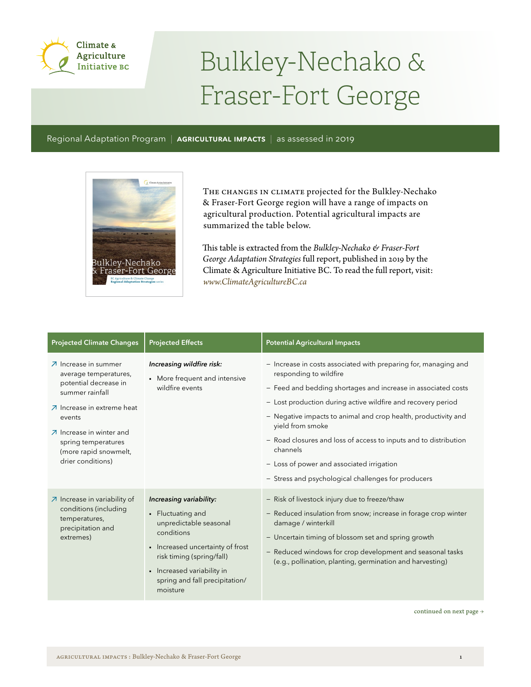

## Bulkley-Nechako & Fraser-Fort George

Regional Adaptation Program | **AGRICULTURAL IMPACTS** | as assessed in 2019



The changes in climate projected for the Bulkley-Nechako & Fraser-Fort George region will have a range of impacts on agricultural production. Potential agricultural impacts are summarized the table below.

This table is extracted from the *Bulkley-Nechako & Fraser-Fort George Adaptation Strategies* full report, published in 2019 by the Climate & Agriculture Initiative BC. To read the full report, visit: *www.ClimateAgricultureBC.ca*

| <b>Projected Climate Changes</b>                                                                                                                                                                                                                               | <b>Projected Effects</b>                                                                                                                                                                                                          | <b>Potential Agricultural Impacts</b>                                                                                                                                                                                                                                                                                                                                                                                                                                                                |
|----------------------------------------------------------------------------------------------------------------------------------------------------------------------------------------------------------------------------------------------------------------|-----------------------------------------------------------------------------------------------------------------------------------------------------------------------------------------------------------------------------------|------------------------------------------------------------------------------------------------------------------------------------------------------------------------------------------------------------------------------------------------------------------------------------------------------------------------------------------------------------------------------------------------------------------------------------------------------------------------------------------------------|
| $\overline{Z}$ Increase in summer<br>average temperatures,<br>potential decrease in<br>summer rainfall<br>○ Increase in extreme heat<br>events<br>$\n  \lambda\n  Increase in winter and$<br>spring temperatures<br>(more rapid snowmelt,<br>drier conditions) | Increasing wildfire risk:<br>• More frequent and intensive<br>wildfire events                                                                                                                                                     | - Increase in costs associated with preparing for, managing and<br>responding to wildfire<br>- Feed and bedding shortages and increase in associated costs<br>- Lost production during active wildfire and recovery period<br>- Negative impacts to animal and crop health, productivity and<br>yield from smoke<br>- Road closures and loss of access to inputs and to distribution<br>channels<br>- Loss of power and associated irrigation<br>- Stress and psychological challenges for producers |
| $\n  \lambda$ Increase in variability of<br>conditions (including<br>temperatures,<br>precipitation and<br>extremes)                                                                                                                                           | Increasing variability:<br>• Fluctuating and<br>unpredictable seasonal<br>conditions<br>• Increased uncertainty of frost<br>risk timing (spring/fall)<br>• Increased variability in<br>spring and fall precipitation/<br>moisture | - Risk of livestock injury due to freeze/thaw<br>- Reduced insulation from snow; increase in forage crop winter<br>damage / winterkill<br>- Uncertain timing of blossom set and spring growth<br>- Reduced windows for crop development and seasonal tasks<br>(e.g., pollination, planting, germination and harvesting)                                                                                                                                                                              |

continued on next page  $\rightarrow$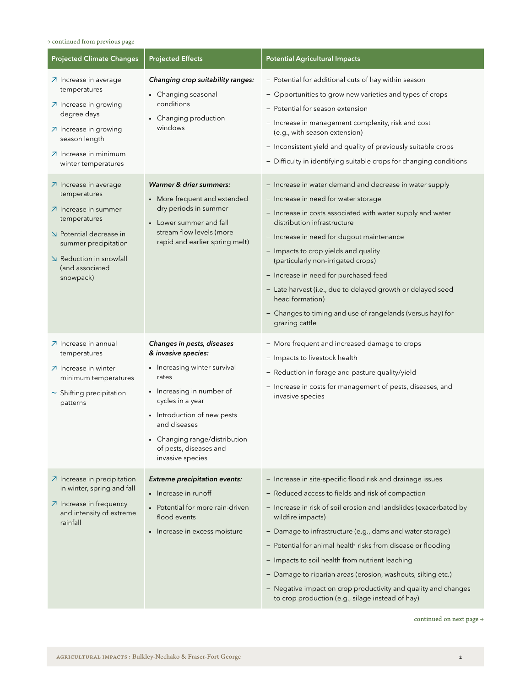## $\rightarrow$  continued from previous page

| <b>Projected Climate Changes</b>                                                                                                                                                                                     | <b>Projected Effects</b>                                                                                                                                                                                                                                                  | <b>Potential Agricultural Impacts</b>                                                                                                                                                                                                                                                                                                                                                                                                                                                                                                                                           |
|----------------------------------------------------------------------------------------------------------------------------------------------------------------------------------------------------------------------|---------------------------------------------------------------------------------------------------------------------------------------------------------------------------------------------------------------------------------------------------------------------------|---------------------------------------------------------------------------------------------------------------------------------------------------------------------------------------------------------------------------------------------------------------------------------------------------------------------------------------------------------------------------------------------------------------------------------------------------------------------------------------------------------------------------------------------------------------------------------|
| $\n  7$ Increase in average<br>temperatures<br>○ Increase in growing<br>degree days<br>○ Increase in growing<br>season length<br>○ Increase in minimum<br>winter temperatures                                        | Changing crop suitability ranges:<br>• Changing seasonal<br>conditions<br>• Changing production<br>windows                                                                                                                                                                | - Potential for additional cuts of hay within season<br>- Opportunities to grow new varieties and types of crops<br>- Potential for season extension<br>- Increase in management complexity, risk and cost<br>(e.g., with season extension)<br>- Inconsistent yield and quality of previously suitable crops<br>- Difficulty in identifying suitable crops for changing conditions                                                                                                                                                                                              |
| $\n  A$ Increase in average<br>temperatures<br>$\overline{\mathcal{A}}$ Increase in summer<br>temperatures<br>Potential decrease in<br>summer precipitation<br>Reduction in snowfall<br>(and associated<br>snowpack) | Warmer & drier summers:<br>• More frequent and extended<br>dry periods in summer<br>• Lower summer and fall<br>stream flow levels (more<br>rapid and earlier spring melt)                                                                                                 | - Increase in water demand and decrease in water supply<br>- Increase in need for water storage<br>- Increase in costs associated with water supply and water<br>distribution infrastructure<br>- Increase in need for dugout maintenance<br>- Impacts to crop yields and quality<br>(particularly non-irrigated crops)<br>- Increase in need for purchased feed<br>- Late harvest (i.e., due to delayed growth or delayed seed<br>head formation)<br>- Changes to timing and use of rangelands (versus hay) for<br>grazing cattle                                              |
| ⊿ Increase in annual<br>temperatures<br>○ Increase in winter<br>minimum temperatures<br>$\sim$ Shifting precipitation<br>patterns                                                                                    | Changes in pests, diseases<br>& invasive species:<br>• Increasing winter survival<br>rates<br>• Increasing in number of<br>cycles in a year<br>• Introduction of new pests<br>and diseases<br>• Changing range/distribution<br>of pests, diseases and<br>invasive species | - More frequent and increased damage to crops<br>- Impacts to livestock health<br>- Reduction in forage and pasture quality/yield<br>- Increase in costs for management of pests, diseases, and<br>invasive species                                                                                                                                                                                                                                                                                                                                                             |
| $\n  A$ Increase in precipitation<br>in winter, spring and fall<br>$\n  \lambda$ Increase in frequency<br>and intensity of extreme<br>rainfall                                                                       | <b>Extreme precipitation events:</b><br>$\blacksquare$ Increase in runoff<br>Potential for more rain-driven<br>flood events<br>• Increase in excess moisture                                                                                                              | - Increase in site-specific flood risk and drainage issues<br>- Reduced access to fields and risk of compaction<br>- Increase in risk of soil erosion and landslides (exacerbated by<br>wildfire impacts)<br>- Damage to infrastructure (e.g., dams and water storage)<br>- Potential for animal health risks from disease or flooding<br>- Impacts to soil health from nutrient leaching<br>- Damage to riparian areas (erosion, washouts, silting etc.)<br>- Negative impact on crop productivity and quality and changes<br>to crop production (e.g., silage instead of hay) |

continued on next page  $\rightarrow$